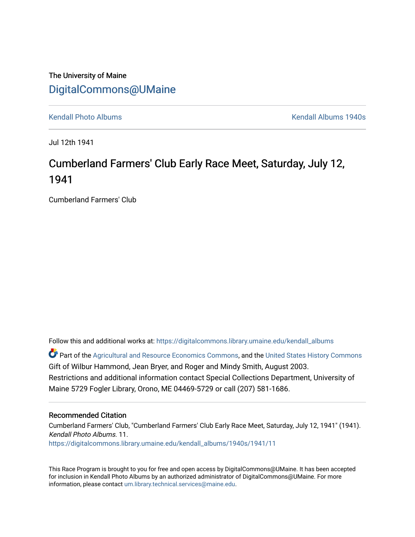## The University of Maine [DigitalCommons@UMaine](https://digitalcommons.library.umaine.edu/)

[Kendall Photo Albums](https://digitalcommons.library.umaine.edu/kendall_albums) [Kendall Albums 1940s](https://digitalcommons.library.umaine.edu/kendall_albums/1940s) 

Jul 12th 1941

## Cumberland Farmers' Club Early Race Meet, Saturday, July 12, 1941

Cumberland Farmers' Club

Follow this and additional works at: [https://digitalcommons.library.umaine.edu/kendall\\_albums](https://digitalcommons.library.umaine.edu/kendall_albums?utm_source=digitalcommons.library.umaine.edu%2Fkendall_albums%2F1940s%2F1941%2F11&utm_medium=PDF&utm_campaign=PDFCoverPages) 

**C** Part of the [Agricultural and Resource Economics Commons,](http://network.bepress.com/hgg/discipline/317?utm_source=digitalcommons.library.umaine.edu%2Fkendall_albums%2F1940s%2F1941%2F11&utm_medium=PDF&utm_campaign=PDFCoverPages) and the [United States History Commons](http://network.bepress.com/hgg/discipline/495?utm_source=digitalcommons.library.umaine.edu%2Fkendall_albums%2F1940s%2F1941%2F11&utm_medium=PDF&utm_campaign=PDFCoverPages) Gift of Wilbur Hammond, Jean Bryer, and Roger and Mindy Smith, August 2003. Restrictions and additional information contact Special Collections Department, University of Maine 5729 Fogler Library, Orono, ME 04469-5729 or call (207) 581-1686.

## Recommended Citation

Cumberland Farmers' Club, "Cumberland Farmers' Club Early Race Meet, Saturday, July 12, 1941" (1941). Kendall Photo Albums. 11. [https://digitalcommons.library.umaine.edu/kendall\\_albums/1940s/1941/11](https://digitalcommons.library.umaine.edu/kendall_albums/1940s/1941/11?utm_source=digitalcommons.library.umaine.edu%2Fkendall_albums%2F1940s%2F1941%2F11&utm_medium=PDF&utm_campaign=PDFCoverPages)

This Race Program is brought to you for free and open access by DigitalCommons@UMaine. It has been accepted for inclusion in Kendall Photo Albums by an authorized administrator of DigitalCommons@UMaine. For more information, please contact [um.library.technical.services@maine.edu](mailto:um.library.technical.services@maine.edu).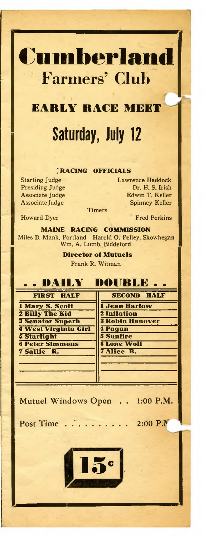

## **EARLY RACE MEET Saturday, July 12**

**RACING OFFICIALS**

Starting Judge Lawrence Haddock Presiding Judge Dr. H. S. Irish Associate Judge **Edwin T. Keller** Associate Judge Spinney Keller

**Timers** 

Howard Dyer **Fred Perkins** 

**MAINE RACING COMMISSION** Miles B. Mank, Portland Harold O. Pelley, Skowhegan Wm. A. Lumb, Biddeford

> **Director of Mutuels** Frank R. Witman



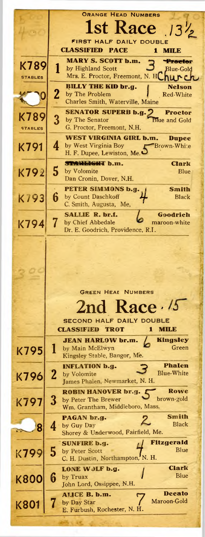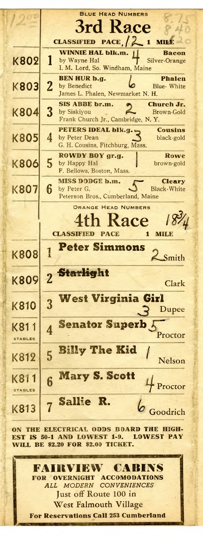|                        | <b>BLUE HEAD NUMBERS</b><br>3rd Race                                                                                                                                 |
|------------------------|----------------------------------------------------------------------------------------------------------------------------------------------------------------------|
| <b>K802</b>            | CLASSIFIED PACE, $\begin{bmatrix} 2 & 1 \end{bmatrix}$<br>MI<br><b>WINNIE HAL blk.m.</b><br>Bacon<br>by Wayne Hal<br>Silver-Orange<br>I. M. Lord, So. Windham, Maine |
| <b>K803</b>            | BEN HUR b.g.<br><b>Phalen</b><br>$\overline{2}$<br>by Benedict<br>Blue-White<br>James L. Phalen, Newmarket N. H.                                                     |
| K804                   | SIS ABBE br.m.<br><b>Church Jr.</b><br>3<br>by Siskiyou<br>Brown-Gold<br>Frank Church Jr., Cambridge, N.Y.                                                           |
| <b>K805</b>            | PETERS IDEAL blk.g.<br>Cousins<br>4<br>by Peter Dean<br>black-gold<br>G. H. Cousins, Fitchburg, Mass.                                                                |
| <b>K806</b>            | ROWDY BOY gr.g.<br>Rowe<br>5<br>by Happy Hal<br>brown-gold<br>F. Bellows, Boston, Mass.                                                                              |
| <b>K807</b>            | <b>MISS DODGE b.m.</b><br><b>Cleary</b><br>6<br>by Peter G.<br><b>Black-White</b><br>Peterson Bros., Cumberland, Maine                                               |
|                        | ORANGE HEAD NUMBERS                                                                                                                                                  |
|                        | $8\%$<br>th Race<br><b>CLASSIFIED PACE</b><br>1<br>MILB                                                                                                              |
| K808                   | <b>Peter Simmons</b><br>1<br>Smith                                                                                                                                   |
| <b>K809</b>            | <b>Starlight</b><br>$\overline{2}$<br>Clark                                                                                                                          |
| <b>K810</b>            | <b>West Virginia Girl</b><br>3<br>Dupee                                                                                                                              |
| K81<br><b>STABLES</b>  | <b>Senator Superb</b><br>Proctor                                                                                                                                     |
| K812                   | <b>Billy The Kid</b><br>5<br>Nelson                                                                                                                                  |
| K811<br><b>STABLES</b> | <b>Mary S. Scott</b><br>6<br>Proctor<br>Sallie R.                                                                                                                    |

**ON THE ELECTRICAL ODDS BOARD THE HIGH-EST IS 50-1 AND LOWEST 1-9. LOWEST PAY WILL BE \$2.20 FOR \$2.00 TICKET.**

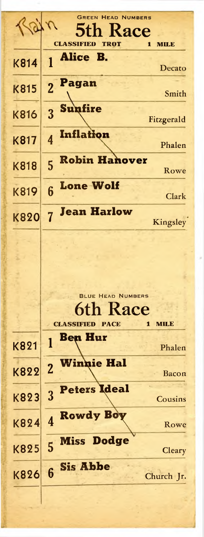|             | <b>GREEN HEAD NUMBERS</b>                     |
|-------------|-----------------------------------------------|
|             | Kace                                          |
|             | <b>CLASSIFIED</b><br>TROT<br>Л<br><b>MILE</b> |
| K814        | Alice B.<br>Decato                            |
|             | Pagan                                         |
| K815        | $\overline{2}$<br>Smith                       |
| K816        | <b>Sunfire</b><br>Fitzgerald                  |
|             | Inflation                                     |
| K817        | Phalen                                        |
| <b>K818</b> | <b>Robin Hanover</b><br>5                     |
|             | Rowe                                          |
| <b>K819</b> | <b>Lone Wolf</b><br>6<br><b>Clark</b>         |
| <b>K820</b> | <b>Jean Harlow</b><br>Kingsley                |
|             |                                               |
|             |                                               |
|             |                                               |
|             |                                               |
|             |                                               |
|             | <b>BLUE HEAD NUMBERS</b>                      |
|             | <b>6th Race</b>                               |
|             | <b>PACE</b><br><b>CLASSIFIED</b><br>1<br>мил  |
|             | <b>Ben Hur</b><br>1                           |
| K821        | Phalen                                        |
|             | <b>Winnie Hal</b><br>$\overline{2}$           |
| K822        | Bacon                                         |
|             | <b>Peters Ideal</b><br>3                      |
| K823        | Cousins                                       |
| K824        | <b>Rowdy Boy</b><br>$\overline{\mathbf{4}}$   |
|             | Rowe                                          |

**Miss Dodge**

**Sis Abbe**

Rowe

**Cleary** 

Church Jr.

K824

K825 5

K826 6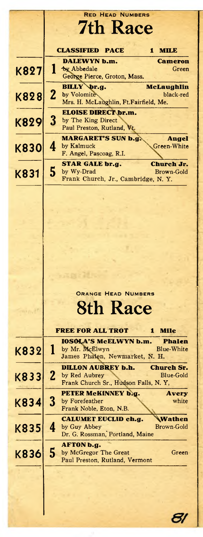|             | <b>RED HEAD NUMBERS</b>                                                                          |
|-------------|--------------------------------------------------------------------------------------------------|
|             |                                                                                                  |
|             | <b>7th Race</b>                                                                                  |
|             |                                                                                                  |
|             | <b>CLASSIFIED</b><br><b>PACE</b><br><b>MILE</b><br>1                                             |
|             | <b>DALEWYN b.m.</b><br>Cameron                                                                   |
| K827        | I<br>by Abbedale<br>Green                                                                        |
|             | George Pierce, Groton, Mass.                                                                     |
|             | BILLY br.g.<br><b>McLaughlin</b>                                                                 |
| K828        | $\mathbf{z}$<br>by Volomite<br>black-red<br>Mrs. H. McLaughlin, Ft.Fairfield, Me.                |
|             | <b>ELOISE DIRECT br.m.</b>                                                                       |
|             | 3<br>by The King Direct                                                                          |
| K829        | Paul Preston, Rutland, Vt.                                                                       |
|             | <b>MARGARET'S SUN b.g.</b><br>Angel                                                              |
| <b>K830</b> | by Kalmuck<br>4<br>Green-White                                                                   |
|             | F. Angel, Pascoag, R.I.                                                                          |
|             | <b>STAR GALE br.g.</b><br><b>Church Jr.</b>                                                      |
| K831        | 5<br>by Wy-Drad<br>Brown-Gold                                                                    |
|             | Frank Church, Jr., Cambridge, N.Y.                                                               |
|             |                                                                                                  |
|             |                                                                                                  |
|             |                                                                                                  |
|             |                                                                                                  |
|             |                                                                                                  |
|             |                                                                                                  |
|             |                                                                                                  |
|             |                                                                                                  |
|             |                                                                                                  |
|             |                                                                                                  |
|             |                                                                                                  |
|             | <b>ORANGE HEAD NUMBERS</b>                                                                       |
|             | <b>8th Race</b>                                                                                  |
|             |                                                                                                  |
|             |                                                                                                  |
|             | <b>FREE FOR ALL TROT</b><br><b>Mile</b><br>1                                                     |
|             | <b>IOSOLA'S McELWYN b.m.</b><br>Phalen                                                           |
| K832        | ı<br>by Mr. McElwyn<br>Blue-White<br>James Phalen, Newmarket, N. H.                              |
|             |                                                                                                  |
|             | <b>DILLON AUBREY b.h.</b><br><b>Church Sr.</b><br>$\boldsymbol{2}$<br>by Red Aubrey<br>Blue-Gold |
| K833        | Frank Church Sr., Hudson Falls, N.Y.                                                             |
|             | PETER MCKINNEY b.g.<br><b>Avery</b>                                                              |
| K834        | 3<br>by Forefeather<br>white                                                                     |
|             | Frank Noble, Eton, N.B.                                                                          |
|             | <b>CALUMET EUCLID ch.g.</b><br>Wathen                                                            |
|             | 4<br>by Guy Abbey<br>Brown-Gold                                                                  |
| K835        |                                                                                                  |
|             | Dr. G. Rossman, Portland, Maine                                                                  |
|             | <b>AFTON</b> b.g.                                                                                |
| K836        | 5<br>by McGregor The Great<br>Green                                                              |
|             | Paul Preston, Rutland, Vermont                                                                   |
|             |                                                                                                  |
|             |                                                                                                  |
|             |                                                                                                  |
|             |                                                                                                  |